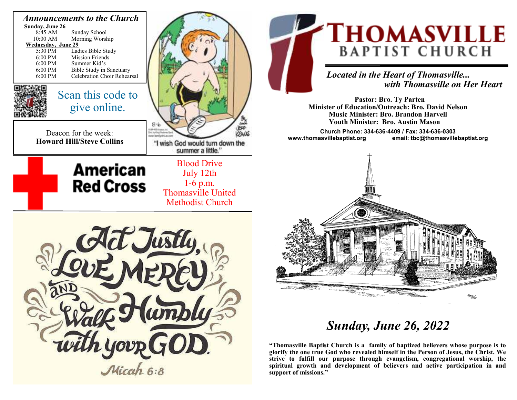